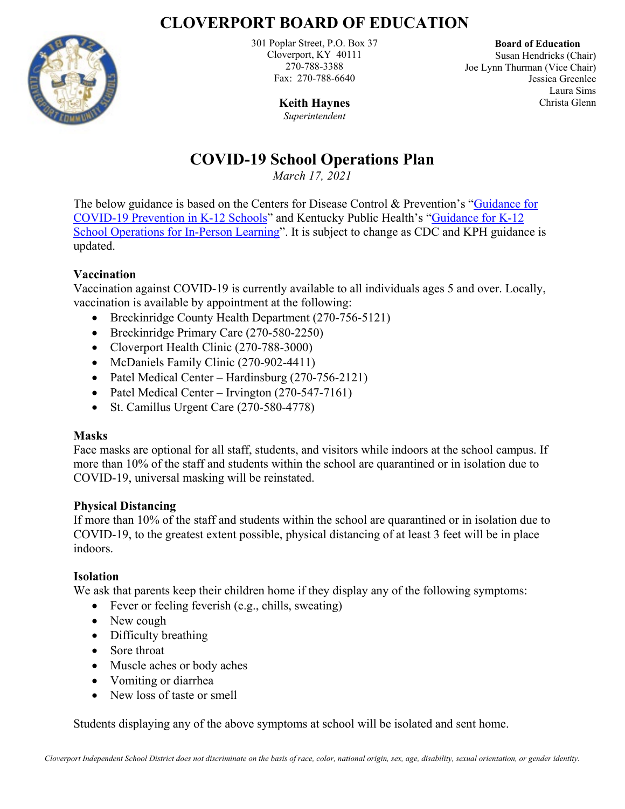## **CLOVERPORT BOARD OF EDUCATION**



301 Poplar Street, P.O. Box 37 Cloverport, KY 40111 270-788-3388 Fax: 270-788-6640

 **Board of Education** Susan Hendricks (Chair) Joe Lynn Thurman (Vice Chair) Jessica Greenlee Laura Sims Christa Glenn

**Keith Haynes** *Superintendent*

# **COVID-19 School Operations Plan**

*March 17, 2021* 

The below guidance is based on the Centers for Disease Control & Prevention's ["Guidance for](https://www.cdc.gov/coronavirus/2019-ncov/community/schools-childcare/k-12-guidance.html)  [COVID-19 Prevention in K-12 Schools"](https://www.cdc.gov/coronavirus/2019-ncov/community/schools-childcare/k-12-guidance.html) and Kentucky Public Health's ["Guidance for K-12](https://chfs.ky.gov/agencies/dph/covid19/K-12Guidance.pdf)  [School Operations for In-Person Learning"](https://chfs.ky.gov/agencies/dph/covid19/K-12Guidance.pdf). It is subject to change as CDC and KPH guidance is updated.

## **Vaccination**

Vaccination against COVID-19 is currently available to all individuals ages 5 and over. Locally, vaccination is available by appointment at the following:

- Breckinridge County Health Department (270-756-5121)
- Breckinridge Primary Care (270-580-2250)
- Cloverport Health Clinic (270-788-3000)
- McDaniels Family Clinic (270-902-4411)
- Patel Medical Center Hardinsburg (270-756-2121)
- Patel Medical Center Irvington (270-547-7161)
- St. Camillus Urgent Care (270-580-4778)

## **Masks**

Face masks are optional for all staff, students, and visitors while indoors at the school campus. If more than 10% of the staff and students within the school are quarantined or in isolation due to COVID-19, universal masking will be reinstated.

## **Physical Distancing**

If more than 10% of the staff and students within the school are quarantined or in isolation due to COVID-19, to the greatest extent possible, physical distancing of at least 3 feet will be in place indoors.

## **Isolation**

We ask that parents keep their children home if they display any of the following symptoms:

- Fever or feeling feverish (e.g., chills, sweating)
- New cough
- Difficulty breathing
- Sore throat
- Muscle aches or body aches
- Vomiting or diarrhea
- New loss of taste or smell

Students displaying any of the above symptoms at school will be isolated and sent home.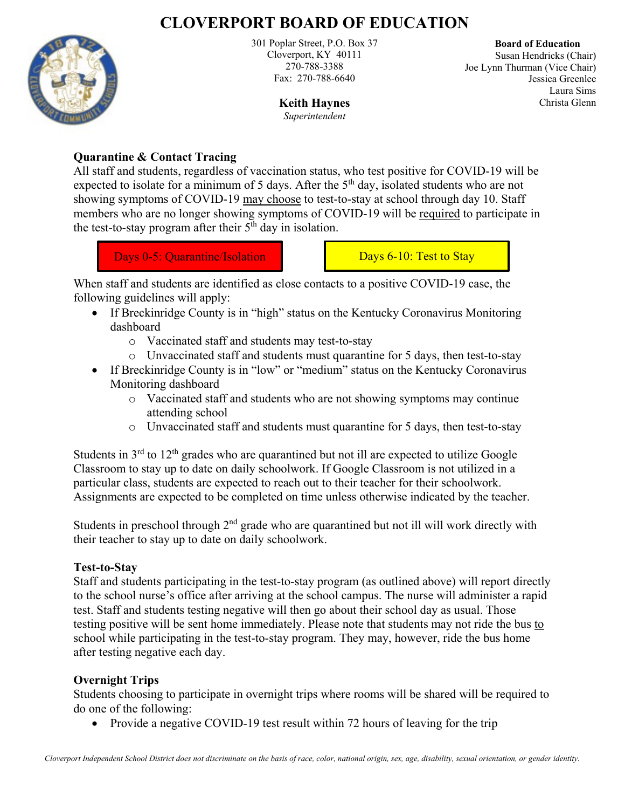# **CLOVERPORT BOARD OF EDUCATION**



301 Poplar Street, P.O. Box 37 Cloverport, KY 40111 270-788-3388 Fax: 270-788-6640

> **Keith Haynes** *Superintendent*

 **Board of Education** Susan Hendricks (Chair) Joe Lynn Thurman (Vice Chair) Jessica Greenlee Laura Sims Christa Glenn

#### **Quarantine & Contact Tracing**

All staff and students, regardless of vaccination status, who test positive for COVID-19 will be expected to isolate for a minimum of 5 days. After the  $5<sup>th</sup>$  day, isolated students who are not showing symptoms of COVID-19 may choose to test-to-stay at school through day 10. Staff members who are no longer showing symptoms of COVID-19 will be required to participate in the test-to-stay program after their  $5<sup>th</sup>$  day in isolation.

Days 0-5: Quarantine/Isolation Days 6-10: Test to Stay

When staff and students are identified as close contacts to a positive COVID-19 case, the following guidelines will apply:

- If Breckinridge County is in "high" status on the Kentucky Coronavirus Monitoring dashboard
	- o Vaccinated staff and students may test-to-stay
	- o Unvaccinated staff and students must quarantine for 5 days, then test-to-stay
- If Breckinridge County is in "low" or "medium" status on the Kentucky Coronavirus Monitoring dashboard
	- o Vaccinated staff and students who are not showing symptoms may continue attending school
	- o Unvaccinated staff and students must quarantine for 5 days, then test-to-stay

Students in  $3<sup>rd</sup>$  to  $12<sup>th</sup>$  grades who are quarantined but not ill are expected to utilize Google Classroom to stay up to date on daily schoolwork. If Google Classroom is not utilized in a particular class, students are expected to reach out to their teacher for their schoolwork. Assignments are expected to be completed on time unless otherwise indicated by the teacher.

Students in preschool through  $2<sup>nd</sup>$  grade who are quarantined but not ill will work directly with their teacher to stay up to date on daily schoolwork.

#### **Test-to-Stay**

Staff and students participating in the test-to-stay program (as outlined above) will report directly to the school nurse's office after arriving at the school campus. The nurse will administer a rapid test. Staff and students testing negative will then go about their school day as usual. Those testing positive will be sent home immediately. Please note that students may not ride the bus to school while participating in the test-to-stay program. They may, however, ride the bus home after testing negative each day.

#### **Overnight Trips**

Students choosing to participate in overnight trips where rooms will be shared will be required to do one of the following:

• Provide a negative COVID-19 test result within 72 hours of leaving for the trip